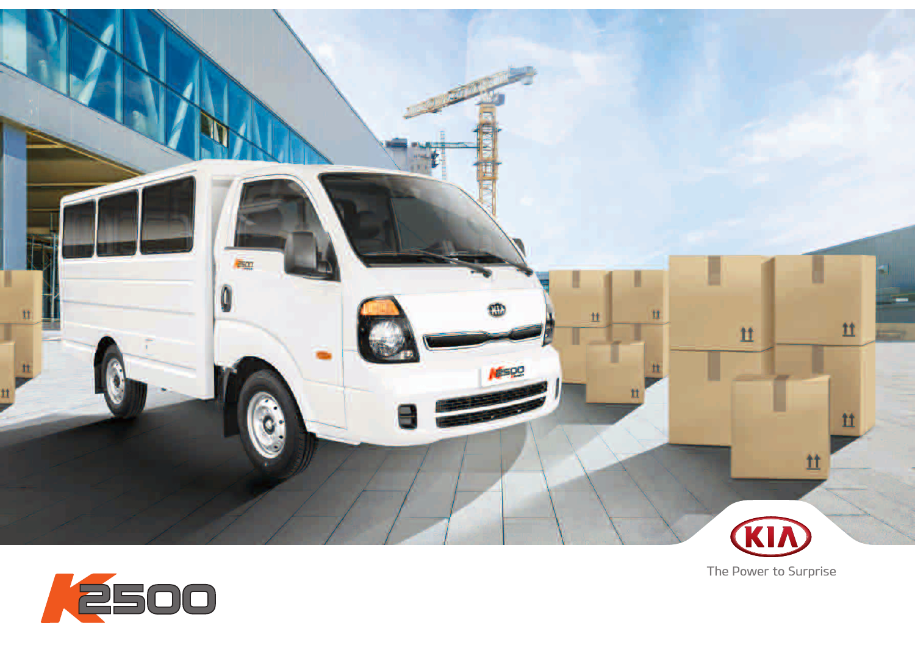



The Power to Surprise